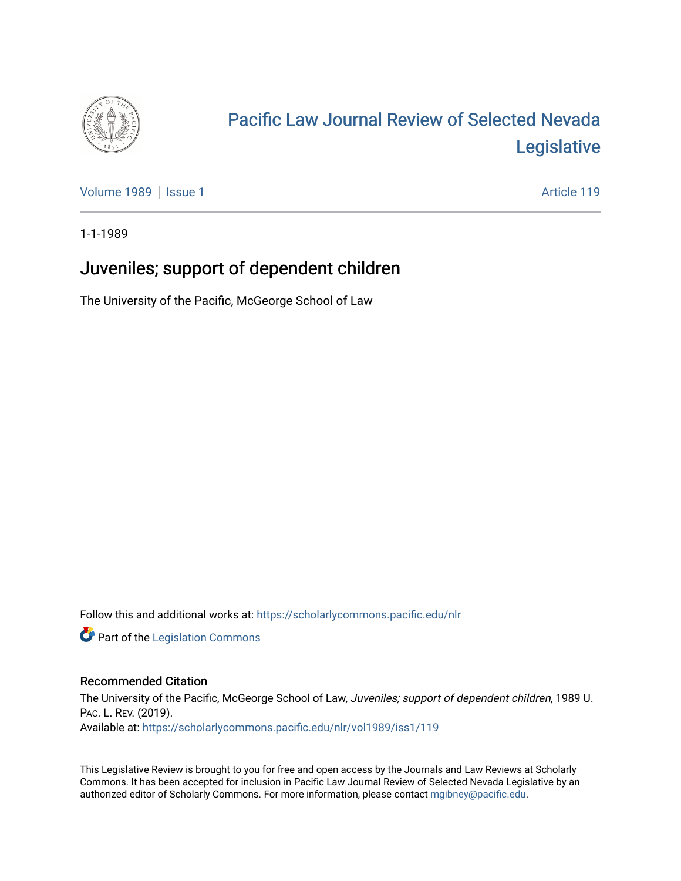

# [Pacific Law Journal Review of Selected Nevada](https://scholarlycommons.pacific.edu/nlr)  [Legislative](https://scholarlycommons.pacific.edu/nlr)

[Volume 1989](https://scholarlycommons.pacific.edu/nlr/vol1989) | [Issue 1](https://scholarlycommons.pacific.edu/nlr/vol1989/iss1) Article 119

1-1-1989

## Juveniles; support of dependent children

The University of the Pacific, McGeorge School of Law

Follow this and additional works at: [https://scholarlycommons.pacific.edu/nlr](https://scholarlycommons.pacific.edu/nlr?utm_source=scholarlycommons.pacific.edu%2Fnlr%2Fvol1989%2Fiss1%2F119&utm_medium=PDF&utm_campaign=PDFCoverPages) 

**Part of the [Legislation Commons](http://network.bepress.com/hgg/discipline/859?utm_source=scholarlycommons.pacific.edu%2Fnlr%2Fvol1989%2Fiss1%2F119&utm_medium=PDF&utm_campaign=PDFCoverPages)** 

### Recommended Citation

The University of the Pacific, McGeorge School of Law, Juveniles; support of dependent children, 1989 U. PAC. L. REV. (2019). Available at: [https://scholarlycommons.pacific.edu/nlr/vol1989/iss1/119](https://scholarlycommons.pacific.edu/nlr/vol1989/iss1/119?utm_source=scholarlycommons.pacific.edu%2Fnlr%2Fvol1989%2Fiss1%2F119&utm_medium=PDF&utm_campaign=PDFCoverPages) 

This Legislative Review is brought to you for free and open access by the Journals and Law Reviews at Scholarly Commons. It has been accepted for inclusion in Pacific Law Journal Review of Selected Nevada Legislative by an authorized editor of Scholarly Commons. For more information, please contact [mgibney@pacific.edu](mailto:mgibney@pacific.edu).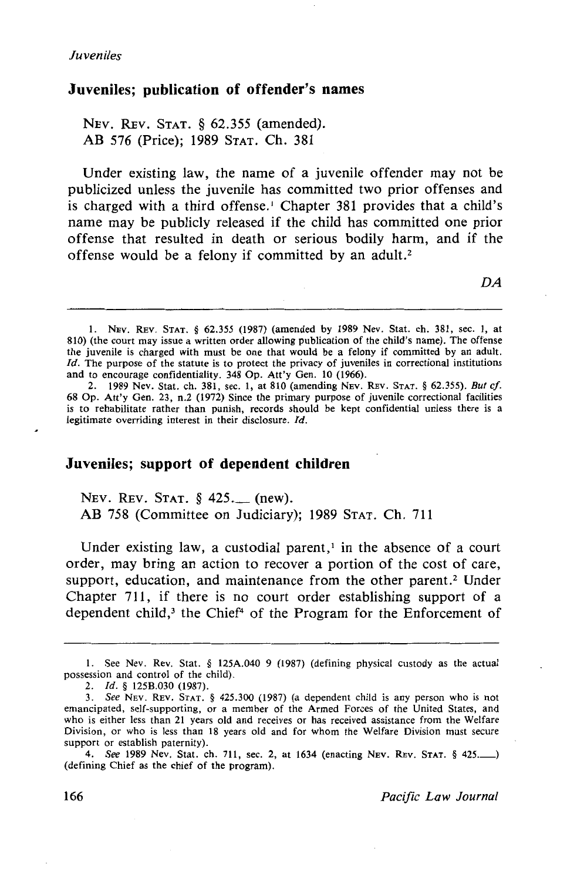#### **Juveniles; publication of offender's names**

NEv. REv. STAT. § 62.355 (amended). AB 576 (Price); 1989 STAT. Ch. 381

Under existing law, the name of a juvenile offender may not be publicized unless the juvenile has committed two prior offenses and is charged with a third offense.<sup>1</sup> Chapter 381 provides that a child's name may be publicly released if the child has committed one prior offense that resulted in death or serious bodily harm, and if the offense would be a felony if committed by an adult.2

DA

#### **Juveniles; support of dependent children**

NEv. REv. STAT. § 425.\_ (new). AB 758 (Committee on Judiciary); 1989 STAT. Ch. 711

Under existing law, a custodial parent, $\frac{1}{1}$  in the absence of a court order, may bring an action to recover a portion of the cost of care, support, education, and maintenance from the other parent.<sup>2</sup> Under Chapter 711, if there is no court order establishing support of a dependent child,<sup>3</sup> the Chief<sup>4</sup> of the Program for the Enforcement of

<sup>1.</sup> NEv. REv. STAT. § 62.355 (1987) (amended by 1989 Nev. Stat. ch. 381, sec. 1, at 810) (the court may issue a written order allowing publication of the child's name). The offense the juvenile is charged with must be one that would be a felony if committed by an adult. *Id.* The purpose of the statute is to protect the privacy of juveniles in correctional institutions and to encourage confidentiality. 348 Op. Att'y Gen. 10 (1966).

<sup>2. 1989</sup> Nev. Stat. ch. 381, sec. 1, at 810 (amending NEv. REv. STAT. § 62.355). *But cf.*  68 Op. Att'y Gen. 23, n.2 (1972) Since the primary purpose of juvenile correctional facilities is to rehabilitate rather than punish, records should be kept confidential unless there is a legitimate overriding interest in their disclosure. Id.

I. See Nev. Rev. Stat. § 125A.040 9 (1987) (defining physical custody as the actual possession and control of the child).

<sup>2.</sup> *Id.* § 125B.030 (1987).

<sup>3.</sup> *See* NEV. REv. STAT. § 425.300 (1987) (a dependent child is any person who is not emancipated, self-supporting, or a member of the Armed Forces of the United States, and who is either less than 21 years old and receives or has received assistance from the Welfare Division, or who is less than 18 years old and for whom the Welfare Division must secure support or establish paternity).

<sup>4.</sup> *See* 1989 Nev. Stat. ch. 711, sec. 2, at 1634 (enacting NEV. REV. STAT. § 425.........) (defining Chief as the chief of the program).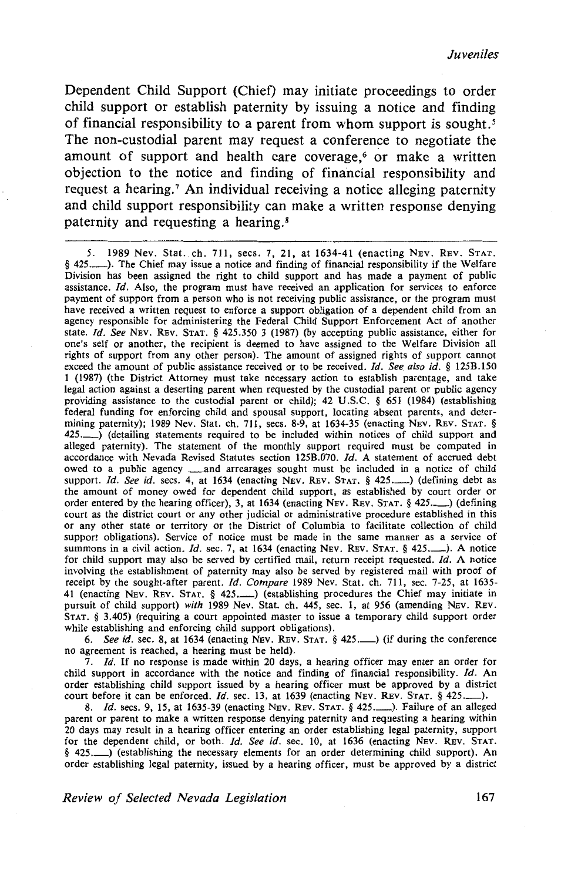Dependent Child Support (Chief) may initiate proceedings to order child support or establish paternity by issuing a notice and finding of financial responsibility to a parent from whom support is sought. *<sup>5</sup>* The non-custodial parent may request a conference to negotiate the amount of support and health care coverage,<sup>6</sup> or make a written objection to the notice and finding of financial responsibility and request a hearing.<sup>7</sup> An individual receiving a notice alleging paternity and child support responsibility can make a written response denying paternity and requesting a hearing. <sup>8</sup>

5. 1989 Nev. Stat. ch. 711, sees. 7, 21, at 1634-41 (enacting NEv. REv. STAT. § 425..................). The Chief may issue a notice and finding of financial responsibility if the Welfare Division has been assigned the right to child support and has made a payment of public assistance.  $Id$ . Also, the program must have received an application for services to enforce payment of support from a person who is not receiving public assistance, or the program must have received a written request to enforce a support obligation of a dependent child from an agency responsible for administering the Federal Child Support Enforcement Act of another state. *Id. See* NEv. REv. STAT. § 425.350 3 (1987) (by accepting public assistance, either for one's self or another, the recipient is deemed to have assigned to the Welfare Division all rights of support from any other person). The amount of assigned rights of support cannot exceed the amount of public assistance received or to be received. Id. See also id. § 125B.150 1 (1987) (the District Attorney must take necessary action to establish parentage, and take legal action against a deserting parent when requested by the custodial parent or public agency providing assistance to the custodial parent or child); 42 U .S.C. § 651 (1984) (establishing federal funding for enforcing child and spousal support, locating absent parents, and determining paternity); 1989 Nev. Stat. ch. 711, sees. 8-9, at 1634-35 (enacting NEv. REv. STAT. § 425.\_) (detailing statements required to be included within notices of child support and alleged paternity). The statement of the monthly support required must be computed in accordance with Nevada Revised Statutes section 1258.070. *!d.* A statement of accrued debt owed to a public agency **\_\_and** arrearages sought must be included in a notice of child support. Id. See id. secs. 4, at 1634 (enacting NEV. REV. STAT. § 425...........) (defining debt as the amount of money owed for dependent child support, as established by court order or order entered by the hearing officer), 3, at 1634 (enacting NEV. REV. STAT.  $\S$  425...........) (defining court as the district court or any other judicial or administrative procedure established in this or any other state or territory or the District of Columbia to facilitate collection of child support obligations). Service of notice must be made in the same manner as a service of summons in a civil action. *Id.* sec. 7, at 1634 (enacting Nev. Rev. STAT. § 425..........). A notice for child support may also be served by certified mail, return receipt requested. Id. A notice involving the establishment of paternity may also be served by registered mail with proof of receipt by the sought-after parent. Id. Compare 1989 Nev. Stat. ch. 711, sec. 7-25, at 1635-41 (enacting Nev. Rev. STAT. § 425..........) (establishing procedures the Chief may initiate in pursuit of child support) with 1989 Nev. Stat. ch. 445, sec. 1, at 956 (amending NEv. REv. STAT. § 3.405) (requiring a court appointed master to issue a temporary child support order while establishing and enforcing child support obligations).

6. See id. sec. 8, at 1634 (enacting NEV. REV. STAT.  $\S$  425.  $\Box$ ) (if during the conference no agreement is reached, a hearing must be held).

7. *!d.* If no response is made within 20 days, a hearing officer may enter an order for child support in accordance with the notice and finding of financial responsibility.  $Id$ . An order establishing child support issued by a hearing officer must be approved by a district court before it can be enforced. *Id.* sec. 13, at 1639 (enacting NEV. REV. STAT. § 425..........).

8. *Id.* secs. 9, 15, at 1635-39 (enacting Nev. Rev. STAT. § 425...........). Failure of an alleged parent or parent to make a written response denying paternity and requesting a hearing within 20 days may result in a hearing officer entering an order establishing legal paternity, support for the dependent child, or both. Id. See id. sec. 10, at 1636 (enacting NEV. REV. STAT. § 425. (establishing the necessary elements for an order determining child support). An order establishing legal paternity, issued by a hearing officer, must be approved by a district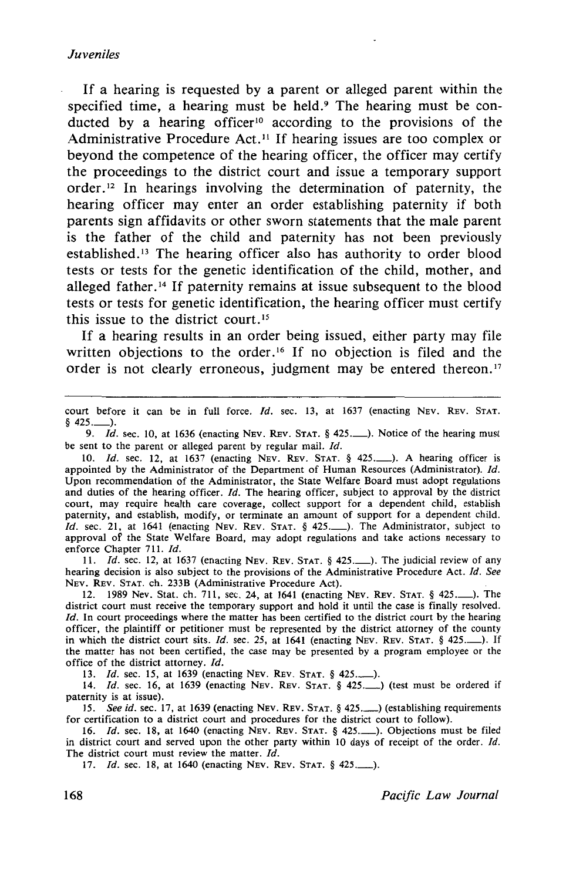If a hearing is requested by a parent or alleged parent within the specified time, a hearing must be held.<sup>9</sup> The hearing must be conducted by a hearing officer<sup>10</sup> according to the provisions of the Administrative Procedure Act.<sup>11</sup> If hearing issues are too complex or beyond the competence of the hearing officer, the officer may certify the proceedings to the district court and issue a temporary support order. 12 In hearings involving the determination of paternity, the hearing officer may enter an order establishing paternity if both parents sign affidavits or other sworn statements that the male parent is the father of the child and paternity has not been previously established. 13 The hearing officer also has authority to order blood tests or tests for the genetic identification of the child, mother, and alleged father.<sup>14</sup> If paternity remains at issue subsequent to the blood tests or tests for genetic identification, the hearing officer must certify this issue to the district court. <sup>15</sup>

If a hearing results in an order being issued, either party may file written objections to the order.<sup>16</sup> If no objection is filed and the order is not clearly erroneous, judgment may be entered thereon.<sup>17</sup>

court before it can be in full force. Id. sec. 13, at 1637 (enacting NEV. REV. STAT.  $$425...$ .

9. *Id.* sec. 10, at 1636 (enacting NEV. REV. STAT. § 425...........). Notice of the hearing must be sent to the parent or alleged parent by regular mail. *Id.* 

10. *Id.* sec. 12, at 1637 (enacting NEv. REv. STAT. § 425.\_). A hearing officer is appointed by the Administrator of the Department of Human Resources (Administrator). Id. Upon recommendation of the Administrator, the State Welfare Board must adopt regulations and duties of the hearing officer. *Id.* The hearing officer, subject to approval by the district court, may require health care coverage, collect support for a dependent child, establish paternity, and establish, modify, or terminate an amount of support for a dependent child. Id. sec. 21, at 1641 (enacting NEV. REV. STAT. § 425..........). The Administrator, subject to approval of the State Welfare Board, may adopt regulations and take actions necessary to enforce Chapter 711. Jd.

11. *Id.* sec. 12, at 1637 (enacting NEV. REV. STAT. § 425..........). The judicial review of any hearing decision is also subject to the provisions of the Administrative Procedure Act. *!d. See*  NEv. REv. STAT. ch. 233B (Administrative Procedure Act).

12. 1989 Nev. Stat. ch. 711, sec. 24, at 1641 (enacting NEv. REv. STAT. § 425.\_). The district court must receive the temporary support and hold it until the case is finally resolved.  $Id$ . In court proceedings where the matter has been certified to the district court by the hearing officer, the plaintiff or petitioner must be represented by the district attorney of the county in which the district court sits. *ld.* sec. 25, at 1641 (enacting NEv. REV. STAT. § 425.\_). If the matter has not been certified, the case may be presented by a program employee or the office of the district attorney. *Id.* 

13. *Id.* sec. 15, at 1639 (enacting Nev. Rev. STAT. § 425.........).

14. *!d.* sec. 16, at 1639 (enacting NEv. REv. STAT. § 425.\_) (test must be ordered if paternity is at issue).

15. *See id.* sec. 17, at 1639 (enacting NEV. REV. STAT. § 425...) (establishing requirements for certification to a district court and procedures for the district court to follow).

16. *!d.* sec. 18, at 1640 (enacting NEv. REv. STAT. § 425.\_). Objections must be filed in district court and served upon the other party within 10 days of receipt of the order. *Id.* The district court must review the matter. *!d.* 

17. *Id.* sec. 18, at 1640 (enacting Nev. Rev. STAT. § 425.........).